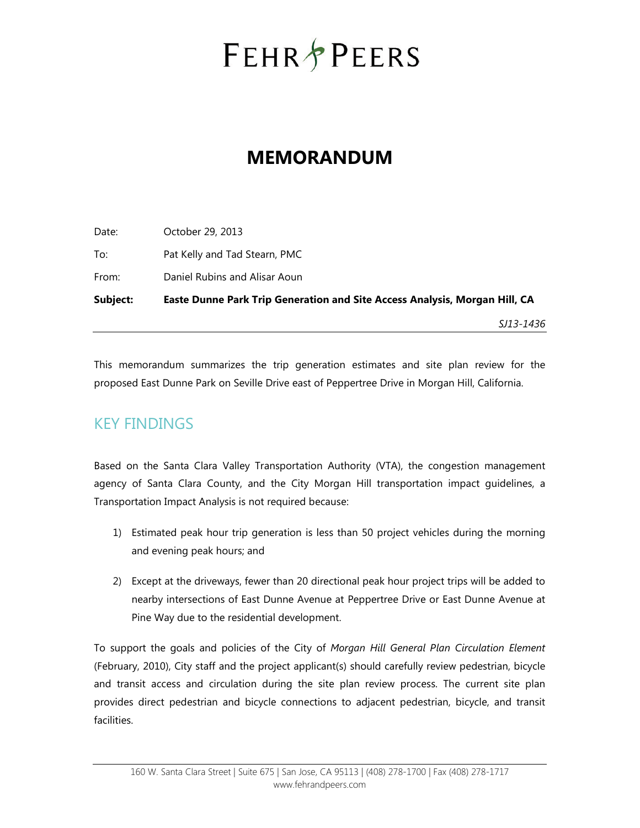# **FEHR PEERS**

## **MEMORANDUM**

| Subject: | Easte Dunne Park Trip Generation and Site Access Analysis, Morgan Hill, CA |
|----------|----------------------------------------------------------------------------|
| From:    | Daniel Rubins and Alisar Aoun                                              |
| To:      | Pat Kelly and Tad Stearn, PMC                                              |
| Date:    | October 29, 2013                                                           |

This memorandum summarizes the trip generation estimates and site plan review for the proposed East Dunne Park on Seville Drive east of Peppertree Drive in Morgan Hill, California.

*SJ13-1436*

## KEY FINDINGS

Based on the Santa Clara Valley Transportation Authority (VTA), the congestion management agency of Santa Clara County, and the City Morgan Hill transportation impact guidelines, a Transportation Impact Analysis is not required because:

- 1) Estimated peak hour trip generation is less than 50 project vehicles during the morning and evening peak hours; and
- 2) Except at the driveways, fewer than 20 directional peak hour project trips will be added to nearby intersections of East Dunne Avenue at Peppertree Drive or East Dunne Avenue at Pine Way due to the residential development.

To support the goals and policies of the City of *Morgan Hill General Plan Circulation Element* (February, 2010), City staff and the project applicant(s) should carefully review pedestrian, bicycle and transit access and circulation during the site plan review process. The current site plan provides direct pedestrian and bicycle connections to adjacent pedestrian, bicycle, and transit facilities.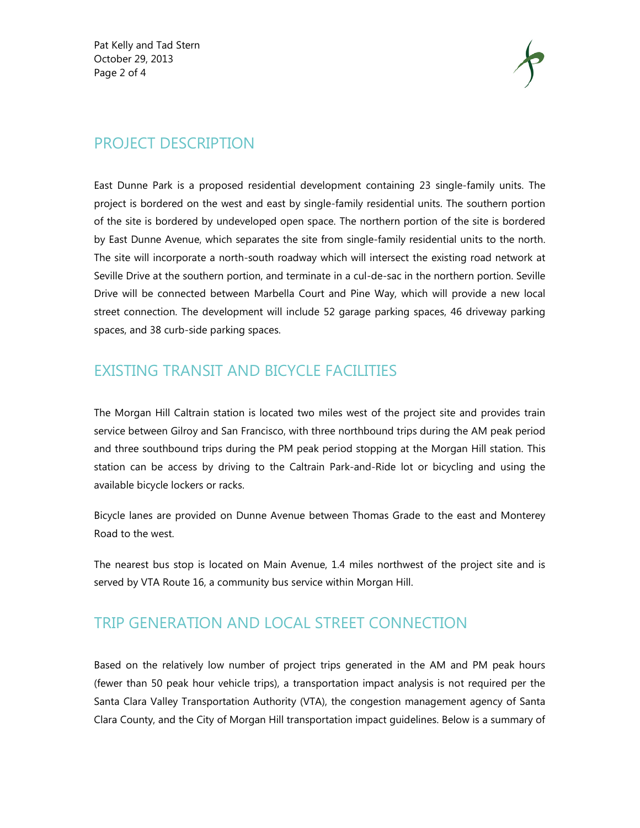Pat Kelly and Tad Stern October 29, 2013 Page 2 of 4



#### PROJECT DESCRIPTION

East Dunne Park is a proposed residential development containing 23 single-family units. The project is bordered on the west and east by single-family residential units. The southern portion of the site is bordered by undeveloped open space. The northern portion of the site is bordered by East Dunne Avenue, which separates the site from single-family residential units to the north. The site will incorporate a north-south roadway which will intersect the existing road network at Seville Drive at the southern portion, and terminate in a cul-de-sac in the northern portion. Seville Drive will be connected between Marbella Court and Pine Way, which will provide a new local street connection. The development will include 52 garage parking spaces, 46 driveway parking spaces, and 38 curb-side parking spaces.

#### EXISTING TRANSIT AND BICYCLE FACILITIES

The Morgan Hill Caltrain station is located two miles west of the project site and provides train service between Gilroy and San Francisco, with three northbound trips during the AM peak period and three southbound trips during the PM peak period stopping at the Morgan Hill station. This station can be access by driving to the Caltrain Park-and-Ride lot or bicycling and using the available bicycle lockers or racks.

Bicycle lanes are provided on Dunne Avenue between Thomas Grade to the east and Monterey Road to the west.

The nearest bus stop is located on Main Avenue, 1.4 miles northwest of the project site and is served by VTA Route 16, a community bus service within Morgan Hill.

### TRIP GENERATION AND LOCAL STREET CONNECTION

Based on the relatively low number of project trips generated in the AM and PM peak hours (fewer than 50 peak hour vehicle trips), a transportation impact analysis is not required per the Santa Clara Valley Transportation Authority (VTA), the congestion management agency of Santa Clara County, and the City of Morgan Hill transportation impact guidelines. Below is a summary of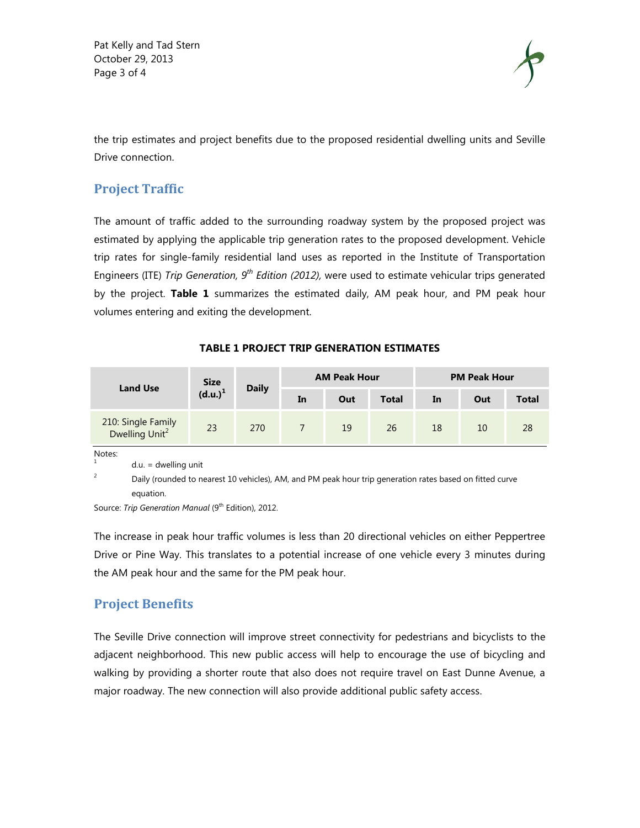Pat Kelly and Tad Stern October 29, 2013 Page 3 of 4



the trip estimates and project benefits due to the proposed residential dwelling units and Seville Drive connection.

#### **Project Traffic**

The amount of traffic added to the surrounding roadway system by the proposed project was estimated by applying the applicable trip generation rates to the proposed development. Vehicle trip rates for single-family residential land uses as reported in the Institute of Transportation Engineers (ITE) *Trip Generation, 9th Edition (2012),* were used to estimate vehicular trips generated by the project. **Table 1** summarizes the estimated daily, AM peak hour, and PM peak hour volumes entering and exiting the development.

| <b>Land Use</b>                                  | Size<br>(d.u.) <sup>1</sup> | <b>Daily</b> | <b>AM Peak Hour</b> |     |              | <b>PM Peak Hour</b> |     |              |
|--------------------------------------------------|-----------------------------|--------------|---------------------|-----|--------------|---------------------|-----|--------------|
|                                                  |                             |              | In                  | Out | <b>Total</b> | In                  | Out | <b>Total</b> |
| 210: Single Family<br>Dwelling Unit <sup>2</sup> | 23                          | 270          | 7                   | 19  | 26           | 18                  | 10  | 28           |
| Notes:<br>$\mathbf{1}$<br>$du = dw$ elling unit  |                             |              |                     |     |              |                     |     |              |

#### **TABLE 1 PROJECT TRIP GENERATION ESTIMATES**

 $2^{2}$  Daily (rounded to nearest 10 vehicles), AM, and PM peak hour trip generation rates based on fitted curve equation.

Source: *Trip Generation Manual* (9<sup>th</sup> Edition), 2012.

The increase in peak hour traffic volumes is less than 20 directional vehicles on either Peppertree Drive or Pine Way. This translates to a potential increase of one vehicle every 3 minutes during the AM peak hour and the same for the PM peak hour.

#### **Project Benefits**

The Seville Drive connection will improve street connectivity for pedestrians and bicyclists to the adjacent neighborhood. This new public access will help to encourage the use of bicycling and walking by providing a shorter route that also does not require travel on East Dunne Avenue, a major roadway. The new connection will also provide additional public safety access.